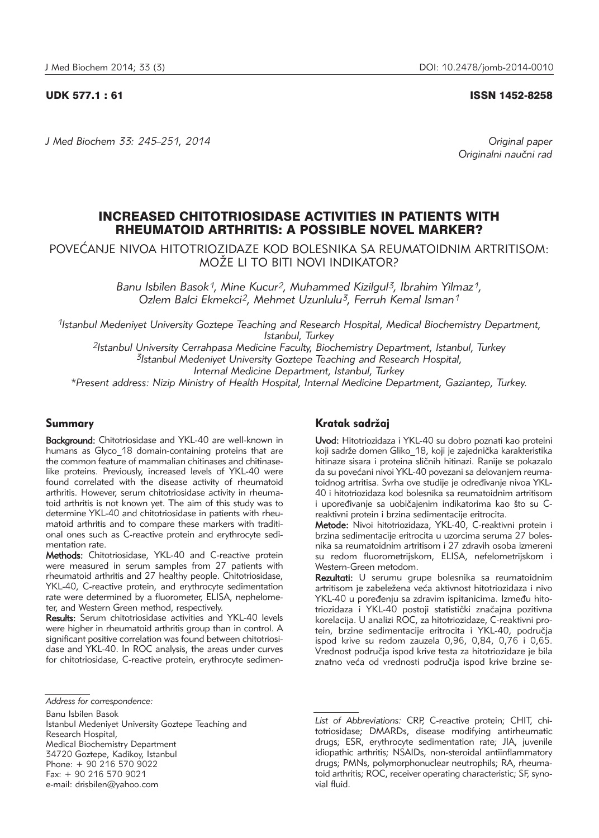UDK 577.1 : 61 ISSN 1452-8258

*J Med Biochem 33: 245–251, 2014 Original paper*

Originalni naučni rad

# INCREASED CHITOTRIOSIDASE ACTIVITIES IN PATIENTS WITH RHEUMATOID ARTHRITIS: A POSSIBLE NOVEL MARKER?

POVEĆANJE NIVOA HITOTRIOZIDAZE KOD BOLESNIKA SA REUMATOIDNIM ARTRITISOM: MOŽE LI TO BITI NOVI INDIKATOR?

> *Banu Isbilen Basok1, Mine Kucur2, Muhammed Kizilgul3, Ibrahim Yilmaz1, Ozlem Balci Ekmekci2, Mehmet Uzunlulu3, Ferruh Kemal Isman1*

*1Istanbul Medeniyet University Goztepe Teaching and Research Hospital, Medical Biochemistry Department, Istanbul, Turkey*

*2Istanbul University Cerrahpasa Medicine Faculty, Biochemistry Department, Istanbul, Turkey 3Istanbul Medeniyet University Goztepe Teaching and Research Hospital, Internal Medicine Department, Istanbul, Turkey*

*\*Present address: Nizip Ministry of Health Hospital, Internal Medicine Department, Gaziantep, Turkey.*

### Summary

Background: Chitotriosidase and YKL-40 are well-known in humans as Glyco\_18 domain-containing proteins that are the common feature of mammalian chitinases and chitinaselike proteins. Previously, increased levels of YKL-40 were found correlated with the disease activity of rheumatoid arthritis. However, serum chitotriosidase activity in rheumatoid arthritis is not known yet. The aim of this study was to determine YKL-40 and chitotriosidase in patients with rheumatoid arthritis and to compare these markers with traditional ones such as C-reactive protein and erythrocyte sedimentation rate.

Methods: Chitotriosidase, YKL-40 and C-reactive protein were measured in serum samples from 27 patients with rheumatoid arthritis and 27 healthy people. Chitotriosidase, YKL-40, C-reactive protein, and erythrocyte sedimentation rate were determined by a fluorometer, ELISA, nephelometer, and Western Green method, respectively.

Results: Serum chitotriosidase activities and YKL-40 levels were higher in rheumatoid arthritis group than in control. A significant positive correlation was found between chitotriosidase and YKL-40. In ROC analysis, the areas under curves for chitotriosidase, C-reactive protein, erythrocyte sedimen-

Banu Isbilen Basok

Istanbul Medeniyet University Goztepe Teaching and Research Hospital, Medical Biochemistry Department 34720 Goztepe, Kadikoy, Istanbul Phone: + 90 216 570 9022 Fax: + 90 216 570 9021 e-mail: drisbilen@yahoo.com

## Kratak sadržaj

Uvod: Hitotriozidaza i YKL-40 su dobro poznati kao proteini koji sadrže domen Gliko 18, koji je zajednička karakteristika hitinaze sisara i proteina sličnih hitinazi. Ranije se pokazalo da su povećani nivoi YKL-40 povezani sa delovanjem reumatoidnog artritisa. Svrha ove studije je određivanje nivoa YKL-40 i hitotriozidaza kod bolesnika sa reumatoidnim artritisom i upoređivanje sa uobičajenim indikatorima kao što su Creaktivni protein i brzina sedimentacije eritrocita.

Metode: Nivoi hitotriozidaza, YKL-40, C-reaktivni protein i brzina sedimentacije eritrocita u uzorcima seruma 27 bolesnika sa reumatoidnim artritisom i 27 zdravih osoba izmereni su redom fluorometrijskom, ELISA, nefelometrijskom i Western-Green metodom.

Rezultati: U serumu grupe bolesnika sa reumatoidnim artritisom je zabeležena veća aktivnost hitotriozidaza i nivo YKL-40 u poređenju sa zdravim ispitanicima. Između hitotriozidaza i YKL-40 postoji statistički značajna pozitivna korelacija. U analizi ROC, za hitotriozidaze, C-reaktivni protein, brzine sedimentacije eritrocita i YKL-40, područja ispod krive su redom zauzela 0,96, 0,84, 0,76 i 0,65. Vrednost područia ispod krive testa za hitotriozidaze je bila znatno veća od vrednosti područja ispod krive brzine se-

*Address for correspondence:*

*List of Abbreviations:* CRP, C-reactive protein; CHIT, chitotriosidase; DMARDs, disease modifying antirheumatic drugs; ESR, erythrocyte sedimentation rate; JIA, juvenile idiopathic arthritis; NSAIDs, non-steroidal antiinflammatory drugs; PMNs, polymorphonuclear neutrophils; RA, rheumatoid arthritis; ROC, receiver operating characteristic; SF, synovial fluid.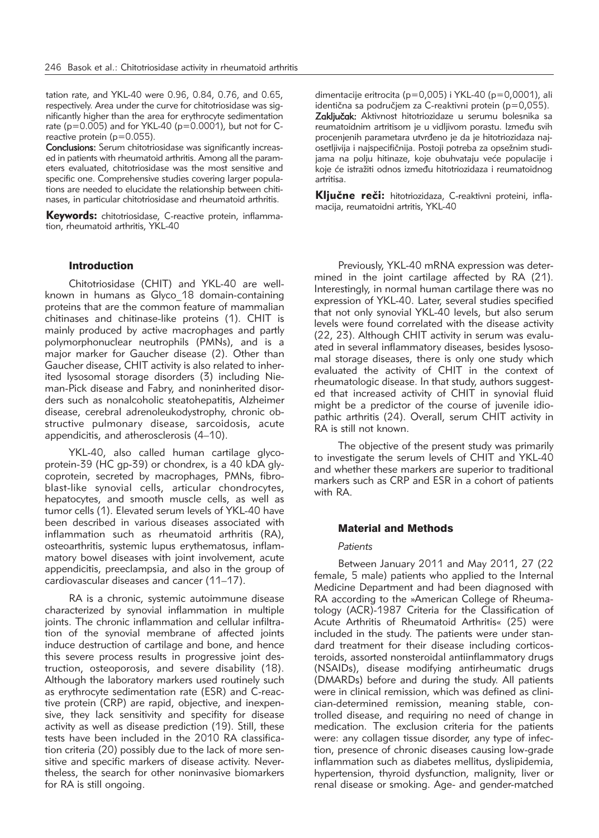tation rate, and YKL-40 were 0.96, 0.84, 0.76, and 0.65, respectively. Area under the curve for chitotriosidase was significantly higher than the area for erythrocyte sedimentation rate ( $p=0.005$ ) and for YKL-40 ( $p=0.0001$ ), but not for Creactive protein (p=0.055).

Conclusions: Serum chitotriosidase was significantly increased in patients with rheumatoid arthritis. Among all the parameters evaluated, chitotriosidase was the most sensitive and specific one. Comprehensive studies covering larger populations are needed to elucidate the relationship between chitinases, in particular chitotriosidase and rheumatoid arthritis.

Keywords: chitotriosidase, C-reactive protein, inflammation, rheumatoid arthritis, YKL-40

## Introduction

Chitotriosidase (CHIT) and YKL-40 are wellknown in humans as Glyco\_18 domain-containing proteins that are the common feature of mammalian chitinases and chitinase-like proteins (1). CHIT is mainly produced by active macrophages and partly poly morphonuclear neutrophils (PMNs), and is a major marker for Gaucher disease (2). Other than Gaucher disease, CHIT activity is also related to inherited Ivsosomal storage disorders (3) including Nieman-Pick disease and Fabry, and noninherited disorders such as nonalcoholic steatohepatitis, Alzheimer disease, cerebral adrenoleukodystrophy, chronic obstructive pulmonary disease, sarcoidosis, acute appendicitis, and atherosclerosis (4-10).

YKL-40, also called human cartilage glycoprotein-39 (HC gp-39) or chondrex, is a 40 kDA glycoprotein, secreted by macrophages, PMNs, fibroblast-like synovial cells, articular chondrocytes, hepatocytes, and smooth muscle cells, as well as tumor cells (1). Elevated serum levels of YKL-40 have been described in various diseases associated with inflammation such as rheumatoid arthritis (RA), osteoarthritis, systemic lupus erythematosus, inflammatory bowel diseases with joint involvement, acute appendicitis, preeclampsia, and also in the group of cardiovascular diseases and cancer (11–17).

RA is a chronic, systemic autoimmune disease characterized by synovial inflammation in multiple joints. The chronic inflammation and cellular infiltration of the synovial membrane of affected joints induce destruction of cartilage and bone, and hence this severe process results in progressive joint destruction, osteoporosis, and severe disability (18). Although the laboratory markers used routinely such as erythrocyte sedimentation rate (ESR) and C-reactive protein (CRP) are rapid, objective, and inexpensive, they lack sensitivity and specifity for disease activity as well as disease prediction (19). Still, these tests have been included in the 2010 RA classification criteria (20) possibly due to the lack of more sensitive and specific markers of disease activity. Nevertheless, the search for other noninvasive biomarkers for RA is still ongoing.

dimentacije eritrocita (p=0,005) i YKL-40 (p=0,0001), ali  $identična$  sa područjem za C-reaktivni protein (p=0,055). Zaključak: Aktivnost hitotriozidaze u serumu bolesnika sa reumatoidnim artritisom je u vidljivom porastu. Između svih procenienih parametara utvrđeno je da je hitotriozidaza najosetljivija i najspecifičnija. Postoji potreba za opsežnim studijama na polju hitinaze, koje obuhvataju veće populacije i .<br>koje će istražiti odnos između hitotriozidaza i reumatoidnog artritisa.

Ključne reči: hitotriozidaza, C-reaktivni proteini, inflamacija, reumatoidni artritis, YKL-40

Previously, YKL-40 mRNA expression was determined in the joint cartilage affected by RA (21). Interestingly, in normal human cartilage there was no expression of YKL-40. Later, several studies specified that not only synovial YKL-40 levels, but also serum levels were found correlated with the disease activity (22, 23). Although CHIT activity in serum was evaluated in several inflammatory diseases, besides lysosomal storage diseases, there is only one study which evaluated the activity of CHIT in the context of rheumatologic disease. In that study, authors suggested that increased activity of CHIT in synovial fluid might be a predictor of the course of juvenile idiopathic arthritis (24). Overall, serum CHIT activity in RA is still not known.

The objective of the present study was primarily to investigate the serum levels of CHIT and YKL-40 and whether these markers are superior to traditional markers such as CRP and ESR in a cohort of patients with RA.

## Material and Methods

#### *Patients*

Between January 2011 and May 2011, 27 (22 female, 5 male) patients who applied to the Internal Medicine Department and had been diagnosed with RA according to the »American College of Rheumatology (ACR)-1987 Criteria for the Classification of Acute Arthritis of Rheumatoid Arthritis« (25) were included in the study. The patients were under standard treatment for their disease including corticosteroids, assorted nonsteroidal antiinflammatory drugs (NSAIDs), disease modifying antirheumatic drugs (DMARDs) before and during the study. All patients were in clinical remission, which was defined as clinician-determined remission, meaning stable, controlled disease, and requiring no need of change in medication. The exclusion criteria for the patients were: any collagen tissue disorder, any type of infection, presence of chronic diseases causing low-grade inflammation such as diabetes mellitus, dyslipidemia, hypertension, thyroid dysfunction, malignity, liver or renal disease or smoking. Age- and gender-matched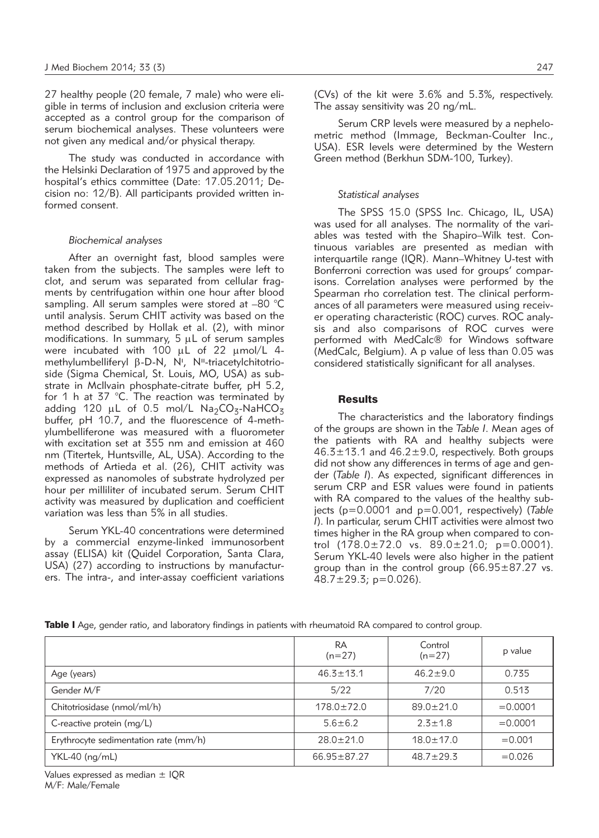27 healthy people (20 female, 7 male) who were eligible in terms of inclusion and exclusion criteria were accepted as a control group for the comparison of serum biochemical analyses. These volunteers were not given any medical and/or physical therapy.

The study was conducted in accordance with the Helsinki Declaration of 1975 and approved by the hospital's ethics committee (Date: 17.05.2011; Decision no: 12/B). All participants provided written informed consent

#### *Biochemical analyses*

After an overnight fast, blood samples were taken from the subjects. The samples were left to clot, and serum was separated from cellular fragments by centrifugation within one hour after blood sampling. All serum samples were stored at –80 °C until analysis. Serum CHIT activity was based on the method described by Hollak et al. (2), with minor modifications. In summary,  $5 \mu L$  of serum samples were incubated with  $100 \mu L$  of 22  $\mu$ mol/L 4methylumbelliferyl β-D-N, N', N''-triacetylchitotrio-<br>side (Sigma Chemical St Louis MO USA) as subside (Sigma Chemical, St. Louis, MO, USA) as substrate in Mcllvain phosphate-citrate buffer, pH 5.2, for 1 h at 37 °C. The reaction was terminated by adding 120  $\mu$ L of 0.5 mol/L Na<sub>2</sub>CO<sub>3</sub>-NaHCO<sub>3</sub> buffer, pH 10.7, and the fluorescence of 4-methylumbelliferone was measured with a fluorometer with excitation set at 355 nm and emission at 460 nm (Titertek, Huntsville, AL, USA). According to the methods of Artieda et al. (26), CHIT activity was expressed as nanomoles of substrate hydrolyzed per hour per milliliter of incubated serum. Serum CHIT activity was measured by duplication and coefficient variation was less than 5% in all studies.

Serum YKL-40 concentrations were determined by a commercial enzyme-linked immunosorbent assay (ELISA) kit (Quidel Corporation, Santa Clara, USA) (27) according to instructions by manufacturers. The intra-, and inter-assay coefficient variations (CVs) of the kit were 3.6% and 5.3%, respectively. The assay sensitivity was 20 ng/mL.

Serum CRP levels were measured by a nephelometric method (Immage, Beckman-Coulter Inc., USA). ESR levels were determined by the Western Green method (Berkhun SDM-100, Turkey).

#### *Statistical analyses*

The SPSS 15.0 (SPSS Inc. Chicago, IL, USA) was used for all analyses. The normality of the variables was tested with the Shapiro-Wilk test. Continuous variables are presented as median with interquartile range (IQR). Mann–Whitney U-test with Bonferroni correction was used for groups' comparisons. Correlation analyses were performed by the Spearman rho correlation test. The clinical performances of all parameters were measured using receiver operating characteristic (ROC) curves. ROC analysis and also comparisons of ROC curves were performed with MedCalc® for Windows software (MedCalc, Belgium). A p value of less than 0.05 was considered statistically significant for all analyses.

### **Results**

The characteristics and the laboratory findings of the groups are shown in the *Table I*. Mean ages of the patients with RA and healthy subjects were  $46.3 \pm 13.1$  and  $46.2 \pm 9.0$ , respectively. Both groups did not show any differences in terms of age and gender (*Table I*). As expected, significant differences in serum CRP and ESR values were found in patients with RA compared to the values of the healthy subjects (p=0.0001 and p=0.001, respectively) (*Table I*). In particular, serum CHIT activities were almost two times higher in the RA group when compared to control  $(178.0 \pm 72.0 \text{ vs. } 89.0 \pm 21.0; \text{ p} = 0.0001).$ Serum YKL-40 levels were also higher in the patient group than in the control group (66.95±87.27 vs.  $48.7 \pm 29.3$ ; p=0.026).

|                                       | <b>RA</b><br>$(n=27)$ | Control<br>$(n=27)$ | p value    |
|---------------------------------------|-----------------------|---------------------|------------|
| Age (years)                           | $46.3 \pm 13.1$       | $46.2 \pm 9.0$      | 0.735      |
| Gender M/F                            | 5/22                  | 7/20                | 0.513      |
| Chitotriosidase (nmol/ml/h)           | $178.0 \pm 72.0$      | $89.0 \pm 21.0$     | $= 0.0001$ |
| C-reactive protein (mg/L)             | $5.6 \pm 6.2$         | $2.5 + 1.8$         | $= 0.0001$ |
| Erythrocyte sedimentation rate (mm/h) | $28.0 \pm 21.0$       | $18.0 \pm 17.0$     | $= 0.001$  |
| YKL-40 (ng/mL)                        | $66.95 \pm 87.27$     | $48.7 + 29.3$       | $= 0.026$  |

Table I Age, gender ratio, and laboratory findings in patients with rheumatoid RA compared to control group.

Values expressed as median ± IQR M/F: Male/Female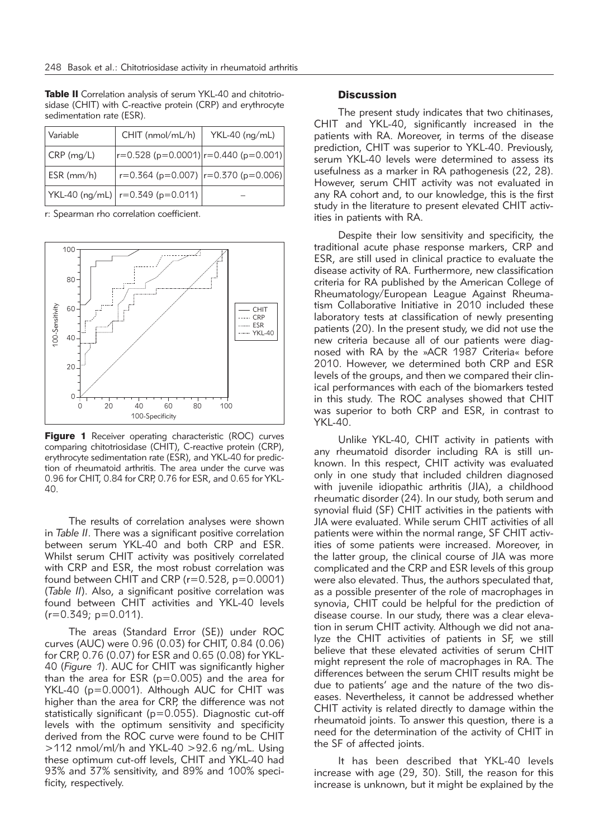| Variable         | CHIT (nmol/mL/h)                           | $YKL-40$ (ng/mL) |
|------------------|--------------------------------------------|------------------|
| $CRP$ (mg/L)     | $ r=0.528$ (p=0.0001) $ r=0.440$ (p=0.001) |                  |
| $ESR$ ( $mm/h$ ) | $r=0.364$ (p=0.007) $ r=0.370$ (p=0.006)   |                  |
|                  | $ YKL-40$ (ng/mL) $ r=0.349$ (p=0.011)     |                  |

Table II Correlation analysis of serum YKL-40 and chitotriosidase (CHIT) with C-reactive protein (CRP) and erythrocyte sedimentation rate (ESR).

r: Spearman rho correlation coefficient.



Figure 1 Receiver operating characteristic (ROC) curves comparing chitotriosidase (CHIT), C-reactive protein (CRP), erythrocyte sedimentation rate (ESR), and YKL-40 for prediction of rheumatoid arthritis. The area under the curve was 0.96 for CHIT, 0.84 for CRP, 0.76 for ESR, and 0.65 for YKL-40.

The results of correlation analyses were shown in *Table II*. There was a significant positive correlation between serum YKL-40 and both CRP and ESR. Whilst serum CHIT activity was positively correlated with CRP and ESR, the most robust correlation was found between CHIT and CRP (r=0.528, p=0.0001) (*Table II*). Also, a significant positive correlation was found between CHIT activities and YKL-40 levels  $(r=0.349; p=0.011)$ .

The areas (Standard Error (SE)) under ROC curves (AUC) were 0.96 (0.03) for CHIT, 0.84 (0.06) for CRP, 0.76 (0.07) for ESR and 0.65 (0.08) for YKL-40 (*Figure 1*). AUC for CHIT was significantly higher than the area for ESR (p=0.005) and the area for YKL-40 (p=0.0001). Although AUC for CHIT was higher than the area for CRP, the difference was not statistically significant (p=0.055). Diagnostic cut-off levels with the optimum sensitivity and specificity derived from the ROC curve were found to be CHIT >112 nmol/ml/h and YKL-40 >92.6 ng/mL. Using these optimum cut-off levels, CHIT and YKL-40 had 93% and 37% sensitivity, and 89% and 100% specificity, respectively.

#### **Discussion**

The present study indicates that two chitinases, CHIT and YKL-40, significantly increased in the patients with RA. Moreover, in terms of the disease prediction, CHIT was superior to YKL-40. Previously, serum YKL-40 levels were determined to assess its usefulness as a marker in RA pathogenesis (22, 28). However, serum CHIT activity was not evaluated in any RA cohort and, to our knowledge, this is the first study in the literature to present elevated CHIT activities in patients with RA.

Despite their low sensitivity and specificity, the traditional acute phase response markers, CRP and ESR, are still used in clinical practice to evaluate the disease activity of RA. Furthermore, new classification criteria for RA published by the American College of Rheumatology/European League Against Rheumatism Collaborative Initiative in 2010 included these laboratory tests at classification of newly presenting patients (20). In the present study, we did not use the new criteria because all of our patients were diagnosed with RA by the »ACR 1987 Criteria« before 2010. However, we determined both CRP and ESR levels of the groups, and then we compared their clinical performances with each of the biomarkers tested in this study. The ROC analyses showed that CHIT was superior to both CRP and ESR, in contrast to YKL-40.

Unlike YKL-40, CHIT activity in patients with any rheumatoid disorder including RA is still unknown. In this respect, CHIT activity was evaluated only in one study that included children diagnosed with juvenile idiopathic arthritis (JIA), a childhood rheumatic disorder (24). In our study, both serum and synovial fluid (SF) CHIT activities in the patients with JIA were evaluated. While serum CHIT activities of all patients were within the normal range, SF CHIT activities of some patients were increased. Moreover, in the latter group, the clinical course of JIA was more complicated and the CRP and ESR levels of this group were also elevated. Thus, the authors speculated that, as a possible presenter of the role of macrophages in synovia, CHIT could be helpful for the prediction of disease course. In our study, there was a clear elevation in serum CHIT activity. Although we did not analyze the CHIT activities of patients in SF, we still believe that these elevated activities of serum CHIT might represent the role of macrophages in RA. The differences between the serum CHIT results might be due to patients' age and the nature of the two diseases. Nevertheless, it cannot be addressed whether CHIT activity is related directly to damage within the rheumatoid joints. To answer this question, there is a need for the determination of the activity of CHIT in the SF of affected joints.

It has been described that YKL-40 levels increase with age (29, 30). Still, the reason for this increase is unknown, but it might be explained by the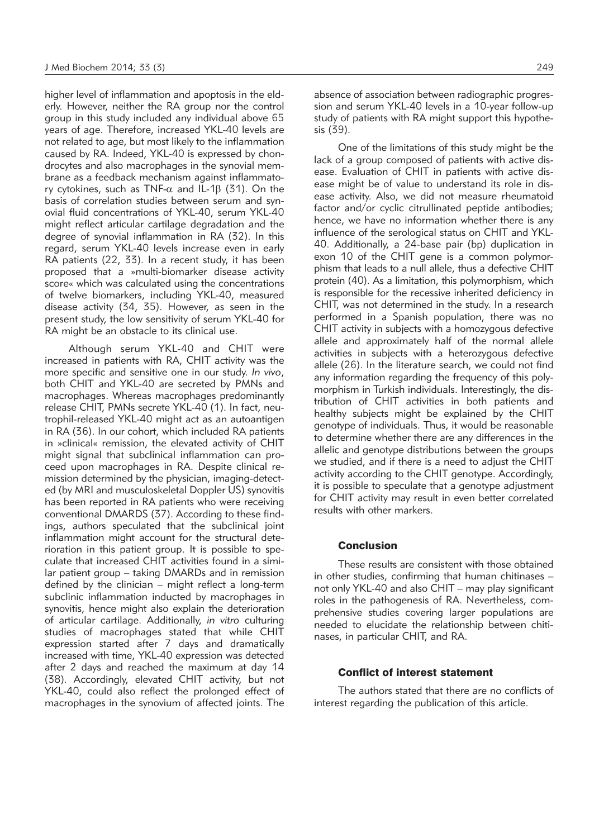higher level of inflammation and apoptosis in the elderly. However, neither the RA group nor the control group in this study included any individual above 65 years of age. Therefore, increased YKL-40 levels are not related to age, but most likely to the inflammation caused by RA. Indeed, YKL-40 is expressed by chondrocytes and also macrophages in the synovial membrane as a feedback mechanism against inflammatory cytokines, such as TNF- $\alpha$  and IL-1 $\beta$  (31). On the basis of correlation studies between serum and synovial fluid concentrations of YKL-40, serum YKL-40 might reflect articular cartilage degradation and the degree of synovial inflammation in RA (32). In this regard, serum YKL-40 levels increase even in early RA patients (22, 33). In a recent study, it has been proposed that a »multi-biomarker disease activity score« which was calculated using the concentrations of twelve biomarkers, including YKL-40, measured disease activity (34, 35). However, as seen in the present study, the low sensitivity of serum YKL-40 for RA might be an obstacle to its clinical use.

Although serum YKL-40 and CHIT were increased in patients with RA, CHIT activity was the more specific and sensitive one in our study. *In vivo*, both CHIT and YKL-40 are secreted by PMNs and macrophages. Whereas macrophages predominantly release CHIT, PMNs secrete YKL-40 (1). In fact, neutrophil-released YKL-40 might act as an autoantigen in RA (36). In our cohort, which included RA patients in »clinical« remission, the elevated activity of CHIT might signal that subclinical inflammation can proceed upon macrophages in RA. Despite clinical remission determined by the physician, imaging-detected (by MRI and musculoskeletal Doppler US) synovitis has been reported in RA patients who were receiving conventional DMARDS (37). According to these findings, authors speculated that the subclinical joint inflammation might account for the structural deterioration in this patient group. It is possible to speculate that increased CHIT activities found in a similar patient group – taking DMARDs and in remission defined by the clinician – might reflect a long-term subclinic inflammation inducted by macrophages in synovitis, hence might also explain the deterioration of articular cartilage. Additionally, *in vitro* culturing studies of macrophages stated that while CHIT expression started after 7 days and dramatically increased with time, YKL-40 expression was detected after 2 days and reached the maximum at day 14 (38). Accordingly, elevated CHIT activity, but not YKL-40, could also reflect the prolonged effect of macrophages in the synovium of affected joints. The absence of association between radiographic progression and serum YKL-40 levels in a 10-year follow-up study of patients with RA might support this hypothesis (39).

One of the limitations of this study might be the lack of a group composed of patients with active disease. Evaluation of CHIT in patients with active disease might be of value to understand its role in disease activity. Also, we did not measure rheumatoid factor and/or cyclic citrullinated peptide antibodies; hence, we have no information whether there is any influence of the serological status on CHIT and YKL-40. Additionally, a 24-base pair (bp) duplication in exon 10 of the CHIT gene is a common polymorphism that leads to a null allele, thus a defective CHIT protein (40). As a limitation, this polymorphism, which is responsible for the recessive inherited deficiency in CHIT, was not determined in the study. In a research performed in a Spanish population, there was no CHIT activity in subjects with a homozygous defective allele and approximately half of the normal allele activities in subjects with a heterozygous defective allele (26). In the literature search, we could not find any information regarding the frequency of this polymorphism in Turkish individuals. Interestingly, the distribution of CHIT activities in both patients and healthy subjects might be explained by the CHIT genotype of individuals. Thus, it would be reasonable to determine whether there are any differences in the allelic and genotype distributions between the groups we studied, and if there is a need to adjust the CHIT activity according to the CHIT genotype. Accordingly, it is possible to speculate that a genotype adjustment for CHIT activity may result in even better correlated results with other markers.

## **Conclusion**

These results are consistent with those obtained in other studies, confirming that human chitinases – not only YKL-40 and also CHIT – may play significant roles in the pathogenesis of RA. Nevertheless, comprehensive studies covering larger populations are needed to elucidate the relationship between chitinases, in particular CHIT, and RA.

### Conflict of interest statement

The authors stated that there are no conflicts of interest regarding the publication of this article.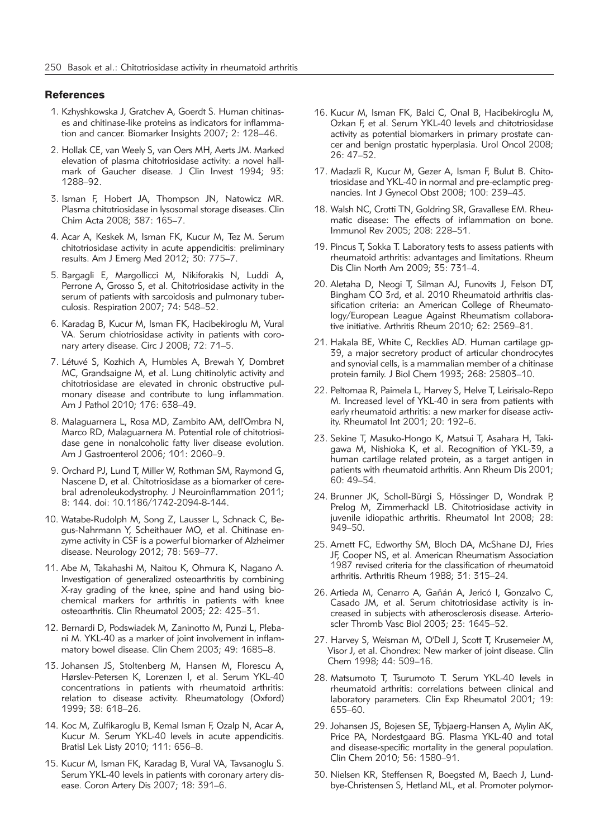#### **References**

- 1. Kzhyshkowska J, Gratchev A, Goerdt S. Human chitinases and chitinase-like proteins as indicators for inflammation and cancer. Biomarker Insights 2007; 2: 128–46.
- 2. Hollak CE, van Weely S, van Oers MH, Aerts JM. Marked elevation of plasma chitotriosidase activity: a novel hallmark of Gaucher disease. J Clin Invest 1994; 93: 1288–92.
- 3. Isman F, Hobert JA, Thompson JN, Natowicz MR. Plasma chitotriosidase in lysosomal storage diseases. Clin Chim Acta 2008; 387: 165–7.
- 4. Acar A, Keskek M, Isman FK, Kucur M, Tez M. Serum chitotriosidase activity in acute appendicitis: preliminary results. Am J Emerg Med 2012; 30: 775–7.
- 5. Bargagli E, Margollicci M, Nikiforakis N, Luddi A, Perrone A, Grosso S, et al. Chitotriosidase activity in the serum of patients with sarcoidosis and pulmonary tuberculosis. Respiration 2007; 74: 548–52.
- 6. Karadag B, Kucur M, Isman FK, Hacibekiroglu M, Vural VA. Serum chiotriosidase activity in patients with coronary artery disease. Circ J 2008; 72: 71–5.
- 7. Létuvé S, Kozhich A, Humbles A, Brewah Y, Dombret MC, Grandsaigne M, et al. Lung chitinolytic activity and chitotriosidase are elevated in chronic obstructive pulmonary disease and contribute to lung inflammation. Am J Pathol 2010; 176: 638–49.
- 8. Malaguarnera L, Rosa MD, Zambito AM, dell'Ombra N, Marco RD, Malaguarnera M. Potential role of chitotriosidase gene in nonalcoholic fatty liver disease evolution. Am J Gastroenterol 2006; 101: 2060–9.
- 9. Orchard PJ, Lund T, Miller W, Rothman SM, Raymond G, Nascene D, et al. Chitotriosidase as a biomarker of cerebral adrenoleukodystrophy. J Neuroinflammation 2011; 8: 144. doi: 10.1186/1742-2094-8-144.
- 10. Watabe-Rudolph M, Song Z, Lausser L, Schnack C, Begus-Nahrmann Y, Scheithauer MO, et al. Chitinase enzyme activity in CSF is a powerful biomarker of Alzheimer disease. Neurology 2012; 78: 569–77.
- 11. Abe M, Takahashi M, Naitou K, Ohmura K, Nagano A. Investigation of generalized osteoarthritis by combining X-ray grading of the knee, spine and hand using biochemical markers for arthritis in patients with knee osteoarthritis. Clin Rheumatol 2003; 22: 425–31.
- 12. Bernardi D, Podswiadek M, Zaninotto M, Punzi L, Plebani M. YKL-40 as a marker of joint involvement in inflammatory bowel disease. Clin Chem 2003; 49: 1685–8.
- 13. Johansen JS, Stoltenberg M, Hansen M, Florescu A, Hørslev-Petersen K, Lorenzen I, et al. Serum YKL-40 concentrations in patients with rheumatoid arthritis: relation to disease activity. Rheumatology (Oxford) 1999; 38: 618–26.
- 14. Koc M, Zulfikaroglu B, Kemal Isman F, Ozalp N, Acar A, Kucur M. Serum YKL-40 levels in acute appendicitis. Bratisl Lek Listy 2010; 111: 656–8.
- 15. Kucur M, Isman FK, Karadag B, Vural VA, Tavsanoglu S. Serum YKL-40 levels in patients with coronary artery disease. Coron Artery Dis 2007; 18: 391–6.
- 16. Kucur M, Isman FK, Balci C, Onal B, Hacibekiroglu M, Ozkan F, et al. Serum YKL-40 levels and chitotriosidase activity as potential biomarkers in primary prostate cancer and benign prostatic hyperplasia. Urol Oncol 2008; 26: 47–52.
- 17. Madazli R, Kucur M, Gezer A, Isman F, Bulut B. Chitotriosidase and YKL-40 in normal and pre-eclamptic pregnancies. Int J Gynecol Obst 2008; 100: 239–43.
- 18. Walsh NC, Crotti TN, Goldring SR, Gravallese EM. Rheumatic disease: The effects of inflammation on bone. Immunol Rev 2005; 208: 228–51.
- 19. Pincus T, Sokka T. Laboratory tests to assess patients with rheumatoid arthritis: advantages and limitations. Rheum Dis Clin North Am 2009; 35: 731–4.
- 20. Aletaha D, Neogi T, Silman AJ, Funovits J, Felson DT, Bingham CO 3rd, et al. 2010 Rheumatoid arthritis classification criteria: an American College of Rheumatology/European League Against Rheumatism collaborative initiative. Arthritis Rheum 2010; 62: 2569–81.
- 21. Hakala BE, White C, Recklies AD. Human cartilage gp-39, a major secretory product of articular chondrocytes and synovial cells, is a mammalian member of a chitinase protein family. J Biol Chem 1993; 268: 25803–10.
- 22. Peltomaa R, Paimela L, Harvey S, Helve T, Leirisalo-Repo M. Increased level of YKL-40 in sera from patients with early rheumatoid arthritis: a new marker for disease activity. Rheumatol Int 2001; 20: 192–6.
- 23. Sekine T, Masuko-Hongo K, Matsui T, Asahara H, Takigawa M, Nishioka K, et al. Recognition of YKL-39, a human cartilage related protein, as a target antigen in patients with rheumatoid arthritis. Ann Rheum Dis 2001; 60: 49–54.
- 24. Brunner JK, Scholl-Bürgi S, Hössinger D, Wondrak P, Prelog M, Zimmerhackl LB. Chitotriosidase activity in juvenile idiopathic arthritis. Rheumatol Int 2008; 28: 949–50.
- 25. Arnett FC, Edworthy SM, Bloch DA, McShane DJ, Fries JF, Cooper NS, et al. American Rheumatism Association 1987 revised criteria for the classification of rheumatoid arthritis. Arthritis Rheum 1988; 31: 315–24.
- 26. Artieda M, Cenarro A, Gañán A, Jericó I, Gonzalvo C, Casado JM, et al. Serum chitotriosidase activity is increased in subjects with atherosclerosis disease. Arterioscler Thromb Vasc Biol 2003; 23: 1645–52.
- 27. Harvey S, Weisman M, O'Dell J, Scott T, Krusemeier M, Visor J, et al. Chondrex: New marker of joint disease. Clin Chem 1998; 44: 509–16.
- 28. Matsumoto T, Tsurumoto T. Serum YKL-40 levels in rheumatoid arthritis: correlations between clinical and laboratory parameters. Clin Exp Rheumatol 2001; 19: 655–60.
- 29. Johansen JS, Bojesen SE, Tybjaerg-Hansen A, Mylin AK, Price PA, Nordestgaard BG. Plasma YKL-40 and total and disease-specific mortality in the general population. Clin Chem 2010; 56: 1580–91.
- 30. Nielsen KR, Steffensen R, Boegsted M, Baech J, Lundbye-Christensen S, Hetland ML, et al. Promoter polymor-